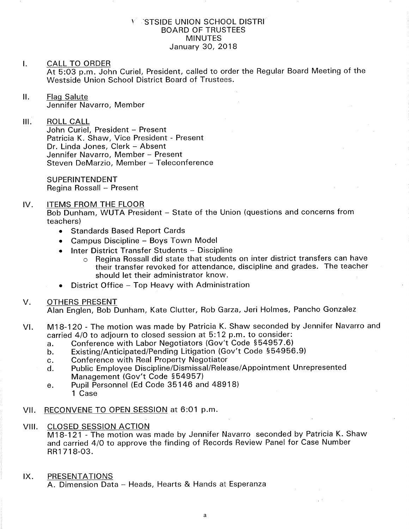### Y STSIDE UNION SCHOOL DISTRI BOARD OF TRUSTEES MINUTES January 30, 2018

### I. CALL TO ORDER At 5:03 p.m. John Curiel, President, called to order the Regular Board Meeting of the Westside Union School District Board of Trustees

ll. Flaq Salute Jennifer Navarro, Member

### $III.$ ROLL CALL

John Curiel, President - Present Patricia K. Shaw, Vice President - Present Dr. Linda Jones, Clerk - Absent Jennifer Navarro, Member - Present Steven DeMarzio, Member - Teleconference

SUPERINTENDENT Regina Rossall - Present

### IV. ITEMS FROM THE FLOOR

Bob Dunham, WUTA President - State of the Union (questions and concerns from teachers)

- Standards Based Report Cards
- . Campus Discipline Boys Town Model
- Inter District Transfer Students Discipline
	- o Regina Rossall did state that students on inter district transfers can have their transfer revoked for attendance, discipline and grades. The teacher should let their administrator know
- District Office Top Heavy with Administration

## V. OTHERS PRESENT

Alan Englen, Bob Dunham, Kate Clutter, Rob Garza, Jeri Holmes, Pancho Gonzalez

- vl. M18-120 The motion was made by Patricia K. Shaw seconded by Jennifer Navarro and carried 4/0 to adjourn to closed session at 5:12 p.m. to consider:<br>a. Conference with Labor Negotiators (Gov't Code §54957.6)
	-
	- a. Conference with Labor Negotiators (Gov't Code §54957.6)<br>b. Existing/Anticipated/Pending Litigation (Gov't Code §54956.9)<br>c. Conference with Real Property Negotiator
	-
	- c. Conference with Real Property Negotiator<br>d. Public Employee Discipline/Dismissal/Release/Appointment Unrepresented Management (Gov't Code 554957)
	- e. Pupil Personnel (Ed Code 35146 and 48918) 1 Case
- VII. RECONVENE TO OPEN SESSION at 6:01 p.m.
- VIII. CLOSED SESSION ACTION

M18-121 - The motion was made by Jennifer Navarro seconded by Patricia K. <sup>S</sup> hawand carried 4lO to approve the finding of Records Review Panel for Case Number RR1 71 8-O3.

IX. PRESENTATIONS

A. Dimension Data - Heads, Hearts & Hands at Esperanza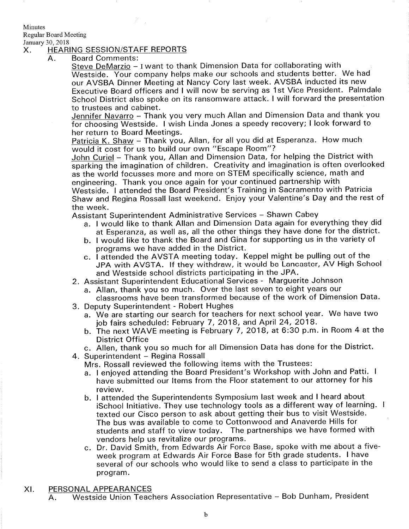**Minutes** 

Regular Board Meeting

# January 30, 2018<br>X. HEARING SESSION/STAFF REPORTS

 $Z \sim$ 

Board Comments:  $A<sub>1</sub>$ 

Steve DeMarzio - I want to thank Dimension Data for collaborating with Westside. Your company helps make our schools and students better. We had our AVSBA Dinner Meeting at Nancy Cory last week. AVSBA inducted its new Executive Board officers and I will now be serving as 1st Vice President. Palmdale School District also spoke on its ransomware attack. I will forward the presentation to trustees and cabinet.

Jennifer Navarro - Thank you very much Allan and Dimension Data and thank you for choosing Westside. I wish Linda Jones a speedy recovery; I look forward to her return to Board Meetings.

Patricia K. Shaw - Thank you, Allan, for all you did at Esperanza. How much would it cost for us to build our own "Escape Room"?

John Curiel - Thank you, Allan and Dimension Data, for helping the District with sparking the imagination of children. Creativity and imagination is often overlooked as the world focusses more and more on STEM specifically science, math and

engineering. Thank you once again for your continued partnership with<br>Westside. I attended the Board President's Training in Sacramento with Patricia Shaw and Regina Rossall last weekend. Enjoy your Valentine's Day and the rest of the week.

Assistant Superintendent Administrative Services - Shawn Cabey

- a. I would like to thank Allan and Dimension Data again for everything they did<br>at Esperanza, as well as, all the other things they have done for the district.
- b. I would like to thank the Board and Gina for supporting us in the variety of programs we have added in the District.
- c. I attended the AVSTA meeting today. Keppel might be pulling out of the JPA with AVSTA. lf they withdraw, it would be Lancaster, AV High School and Westside school districts participating in the JPA.
- 2. Assistant Superintendent Educational Services Marguerite Johnson
	- a. Allan, thank you so much. Over the last seven to eight years our classrooms have been transformed because of the work of Dimension Data.
- 3. Deputy Superintendent Robert Hughes
	- a. We are starting our search for teachers for next school year. We have two job fairs scheduled: February 7,2O18, and April 24,2O18. b. The next WAVE meeting is February <sup>7</sup>, 20 18, at 6:3O p.m. in Room 4 at the
	- District Office
- c. Allen, thank you so much for all Dimension Data has done for the District. 4. Superintendent Regina Rossall
- 

Mrs. Rossall reviewed the following items with the Trustees:

- a. I enjoyed attending the Board President's Workshop with John and Patti. <sup>I</sup> have submitted our ltems from the Floor statement to our attorney for his review.
- b. I attended the Superintendents Symposium last week and I heard about ischool Initiative. They use technology tools as a different way of learning. <sup>I</sup> texted our Cisco person to ask about getting their bus to visit Westside. The bus was available to come to Cottonwood and Anaverde Hills for students and staff to view today. The partnerships we have formed with vendors help us revitalize our programs.
- c. Dr. David Smith, from Edwards Air Force Base, spoke with me about a fiveweek program at Edwards Air Force Base for 5th grade students. I have several of our schools who would like to send a class to participate in the program.

XI. <u>PERSONAL APPEARANCES</u><br>A. Westside Union Teachers Association Representative – Bob Dunham, President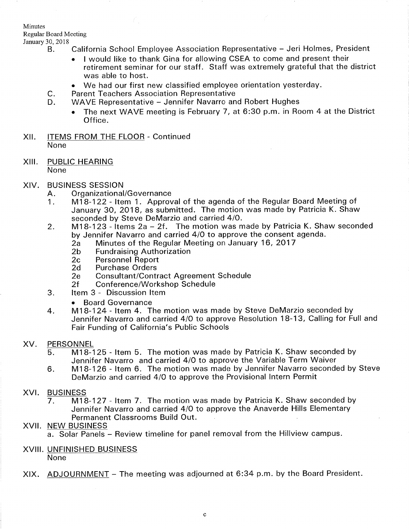Minutes

Regular Board Meeting

- - B. California School Employee Association Representative Jeri Holmes, President
		- I would like to thank Gina for allowing CSEA to come and present their retirement seminar for our staff. Staff was extremely grateful that the district was able to host.
	- We had our first new classified employee orientation yesterday.<br>C. Parent Teachers Association Representative<br>D. WAVE Representative Jennifer Navarro and Robert Hughes
		-

К,

- - The next WAVE meeting is February 7, at 6:30 p.m. in Room 4 at the District Office.
- XII. ITEMS FROM THE FLOOR Continued None
- XIII. PUBLIC HEARING None
- -
- XIV. BUSINESS SESSION<br>A. Organizational/Governance<br>1. M18-122 Item 1. Approval of the agenda of the Regular Board Meeting of January 30, 2018, as submitted. The motion was made by Patricia K. Shaw seconded by Steve DeMarzio and carried 4/0.
	- 2. M18-123 Items 2a 2f. The motion was made by Patricia K. Shaw seconded by Jennifer Navarro and carried 4/0 to approve the consent agenda.<br>
	2a Minutes of the Regular Meeting on January 16, 2017<br>
	2b Fundraising Authorization<br>
	2c Personnel Report<br>
	2d Purchase Orders<br>
	2e Consultant/Contract Agree
		-
		-
		-
		-
		-
		-
	- -
	- <sup>o</sup>Board Governance 4. M18-124- ltem 4. The motion was made by Steve DeMarzio seconded by Jennifer Navarro and carried 4/0 to approve Resolution 18-13, Calling for Full and Fair Funding of California's Public Schools

### XV. PERSONNEL

- <sup>5</sup> M18-125 ltem 5. The motion was made by Patricia K. Shaw seconded by Jennifer Navarro and carried 4/0 to approve the Variable Term Waiver
- M18-126 ltem 6. The motion was made by Jennifer Navarro seconded by Steve DeMarzio and carried 4/0 to approve the Provisional Intern Permit 6

### XVI.

BUSINESS<br>7. M18-127 - Item 7. The motion was made by Patricia K. Shaw seconded by Jennifer Navarro and carried 4/0 to approve the Anaverde Hills Elementary Permanent Classrooms Build Out.

### XVII NEW BUSINESS

a. Solar Panels - Review timeline for panel removal from the Hillview campus.

### XVIII. UNFINISHED BUSINESS

None

XIX. ADJOURNMENT - The meeting was adjourned at 6:34 p.m. by the Board President.